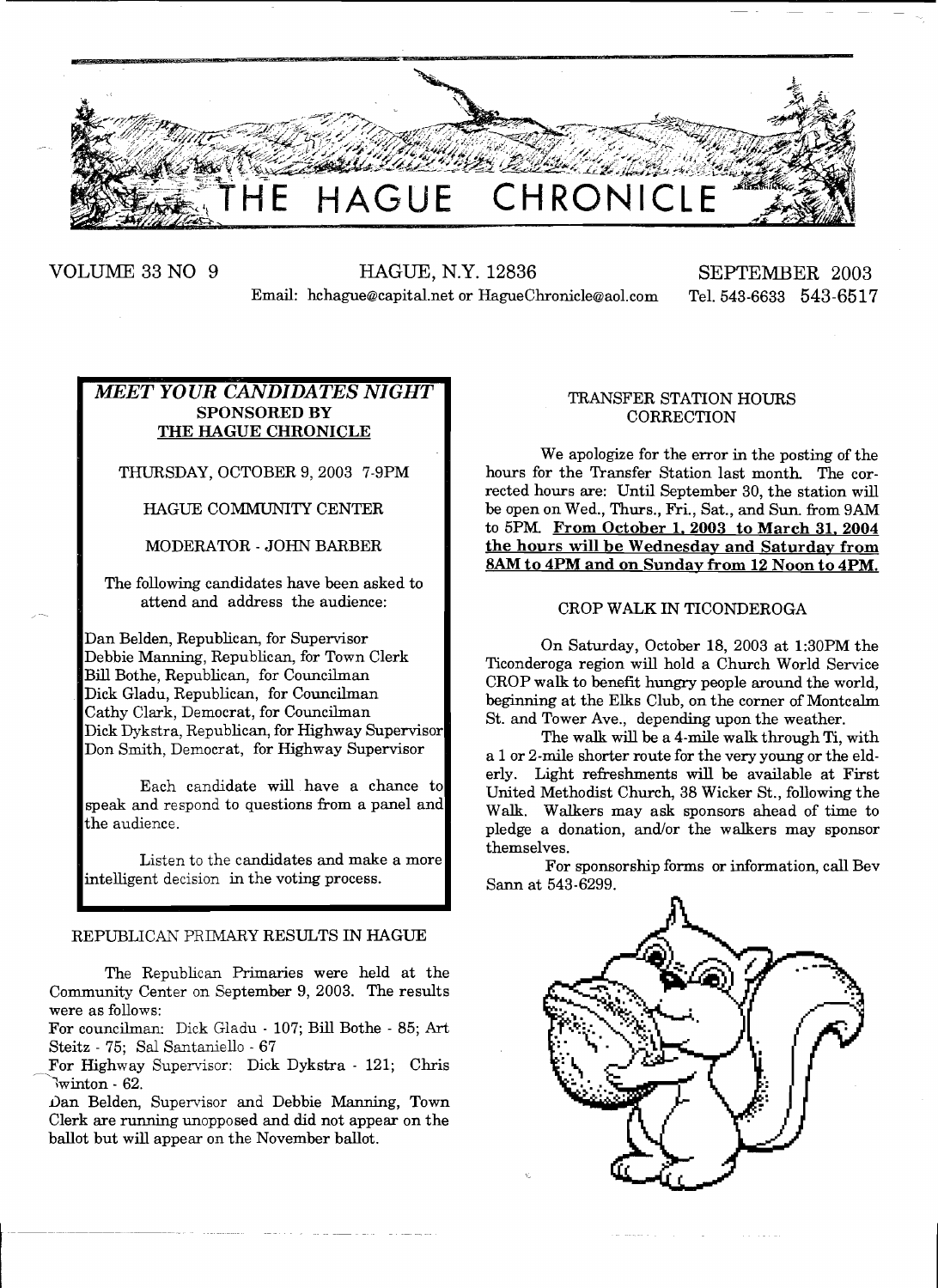

VOLUME 33 NO 9 HAGUE, N.Y. 12836 SEPTEMBER 2003 Email: hchague@capital.net or HagueChronicle@aol.com Tel. 543-6633 543-6517

# *MEET YOUR CANDIDATES NIGHT*  SPONSORED BY THE HAGUE CHRONICLE

THURSDAY, OCTOBER 9,2003 7-9PM

HAGUE COMMUNITY CENTER

MODERATOR - JOHN BARBER

The following candidates have been asked to attend and address the audience:

Dan Belden, Republican, for Supervisor Debbie Manning, Republican, for Town Clerk Bill Bothe, Republican, for Councilman Dick Gladu, Republican, for Councilman Cathy Clark, Democrat, for Councilman Dick Dykstra, Republican, for Highway Supervisor Don Smith, Democrat, for Highway Supervisor

Each candidate will have a chance to speak and respond to questions from a panel and the audience.

Listen to the candidates and make a more intelligent decision in the voting process.

# REPUBLICAN PRIMARY RESULTS IN HAGUE

The Republican Primaries were held at the Community Center on September 9,2003. The results were as follows:

For councilman: Dick Gladu - 107; Bill Bothe - 85; Art Steitz - 75: Sal Santaniello - 67

For Highway Supervisor: Dick Dykstra - 121; Chris  $\sqrt{w}$ inton - 62.

Dan Belden, Supervisor and Debbie Manning, Town Clerk are running unopposed and did not appear on the ballot but will appear on the November ballot.

# TRANSFER STATION HOURS **CORRECTION**

We apologize for the error in the posting of the hours for the Transfer Station last month. The corrected hours are: Until September 30, the station will be open on Wed., Thurs., Fri., Sat., and Sun. from 9AM to 5PM. From October 1, 2003 to March 31, 2004 the hours will be Wednesday and Saturday from *BAM* to 4PM and on Sunday from 12 Noon to 4PM.

# CROP WALK IN TICONDEROGA

On Saturday, October 18, 2003 at 1:30PM the Ticonderoga region will hold a Church World Service CROP walk to benefit hungry people around the world, beginning at the Elks Club, on the corner of Montcalm St. and Tower Ave., depending upon the weather.

The walk will be a 4-mile walk through Ti, with a 1 or 2-mile shorter route for the very young or the elderly. Light refreshments will be available at First United Methodist Church, 38 Wicker St., following the Walk. Walkers may ask sponsors ahead of time to pledge a donation, and/or the walkers may sponsor themselves.

For sponsorship forms or information, call Bev Sann at 543-6299.

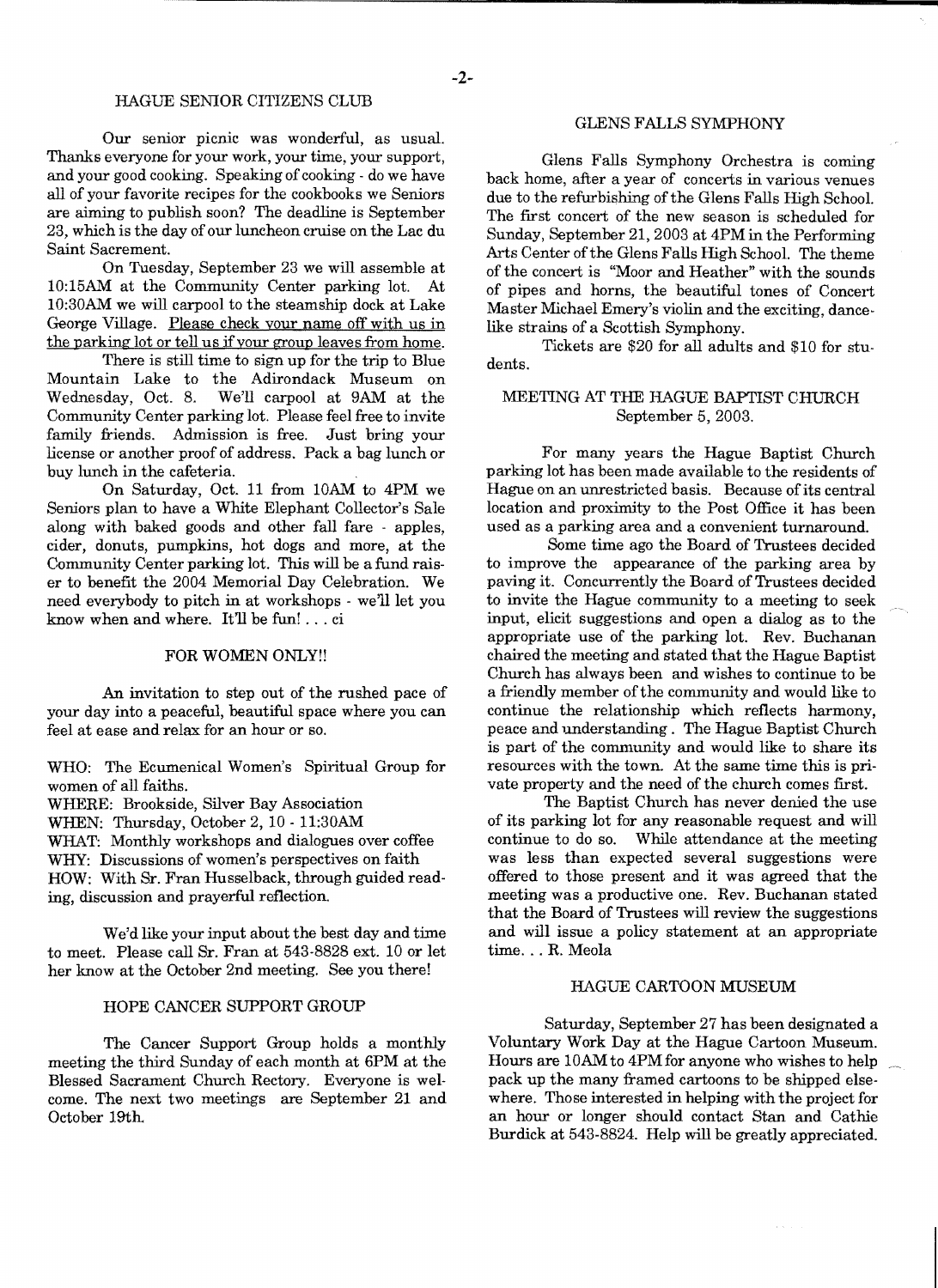# HAGUE SENIOR CITIZENS CLUB

Our senior picnic was wonderful, as usual. Thanks everyone for your work, your time, your support, and your good cooking. Speaking of cooking - do we have all of your favorite recipes for the cookbooks we Seniors are aiming to publish soon? The deadline is September 23, which is the day of our luncheon cruise on the Lac du Saint Sacrement.

On Tuesday, September 23 we will assemble at 10:15AM at the Community Center parking lot. At 10:30AM we will carpool to the steamship dock at Lake George Village. Please check your name off with us in the parking lot or tell us if your group leaves from home.

There is still time to sign up for the trip to Blue Mountain Lake to the Adirondack Museum on We'll carpool at 9AM at the Community Center parking lot. Please feel free to invite family friends. Admission is free. Just bring your license or another proof of address. Pack a bag lunch or buy lunch in the cafeteria.

On Saturday, Oct. 11 from lOAM to 4PM we Seniors plan to have a White Elephant Collector's Sale along with baked goods and other fall fare - apples, cider, donuts, pumpkins, hot dogs and more, at the Community Center parking lot. This will be a fund raiser to benefit the 2004 Memorial Day Celebration. We need everybody to pitch in at workshops - we'll let you know when and where. It'll be fun! ... ci

# FOR WOMEN ONLY!!

An invitation to step out of the rushed pace of your day into a peaceful, beautiful space where you can feel at ease and relax for an hour or so.

WHO: The Ecumenical Women's Spiritual Group for women of all faiths. WHERE: Brookside, Silver Bay Association

WHEN: Thursday, October 2, 10 - 1l:30AM

WHAT: Monthly workshops and dialogues over coffee WHY: Discussions of women's perspectives on faith HOW: With Sr. Fran Husselback, through guided reading, discussion and prayerful reflection.

We'd like your input about the best day and time to meet. Please call Sr. Fran at 543-8828 ext. 10 or let her know at the October 2nd meeting. See you there!

# HOPE CANCER SUPPORT GROUP

The Cancer Support Group holds a monthly meeting the third Sunday of each month at 6PM at the Blessed Sacrament Church Rectory. Everyone is welcome. The next two meetings are September 21 and October 19th.

# GLENS FALLS SYMPHONY

Glens Falls Symphony Orchestra is coming back home, after a year of concerts in various venues due to the refurbishing of the Glens Falls High School. The first concert of the new season is scheduled for Sunday, September 21, 2003 at 4PM in the Performing Arts Center of the Glens Falls High School. The theme of the concert is "Moor and Heather" with the sounds of pipes and horns, the beautiful tones of Concert Master Michael Emery's violin and the exciting, dance· like strains of a Scottish Symphony.

Tickets are \$20 for all adults and \$10 for stu· dents.

# MEETING AT THE HAGUE BAPTIST CHURCH September 5, 2003.

For many years the Hague Baptist Church parking lot has been made available to the residents of Hague on an unrestricted basis. Because of its central location and proximity to the Post Office it has been used as a parking area and a convenient turnaround.

Some time ago the Board of Trustees decided to improve the appearance of the parking area by paving it. Concurrently the Board of Trustees decided to invite the Hague community to a meeting to seek input, elicit suggestions and open a dialog as to the appropriate use of the parking lot. Rev. Buchanan chaired the meeting and stated that the Hague Baptist Church has always been and wishes to continue to be a friendly member ofthe community and would like to continue the relationship which reflects harmony, peace and understanding. The Hague Baptist Church is part of the community and would like to share its resources with the town. At the same time this is private property and the need of the church comes first.

The Baptist Church has never denied the use of its parking lot for any reasonable request and will continue to do so. While attendance at the meeting was less than expected several suggestions were offered to those present and it was agreed that the meeting was a productive one. Rev. Buchanan stated that the Board of Trustees will review the suggestions and will issue a policy statement at an appropriate time... R. Meola

# HAGUE CARTOON MUSEUM

Saturday, September 27 has been designated a Voluntary Work Day at the Hague Cartoon Museum. Hours are 10AM to 4PM for anyone who wishes to help pack up the many framed cartoons to be shipped elsewhere. Those interested in helping with the project for an hour or longer should contact Stan and Cathie Burdick at 543-8824. Help will be greatly appreciated.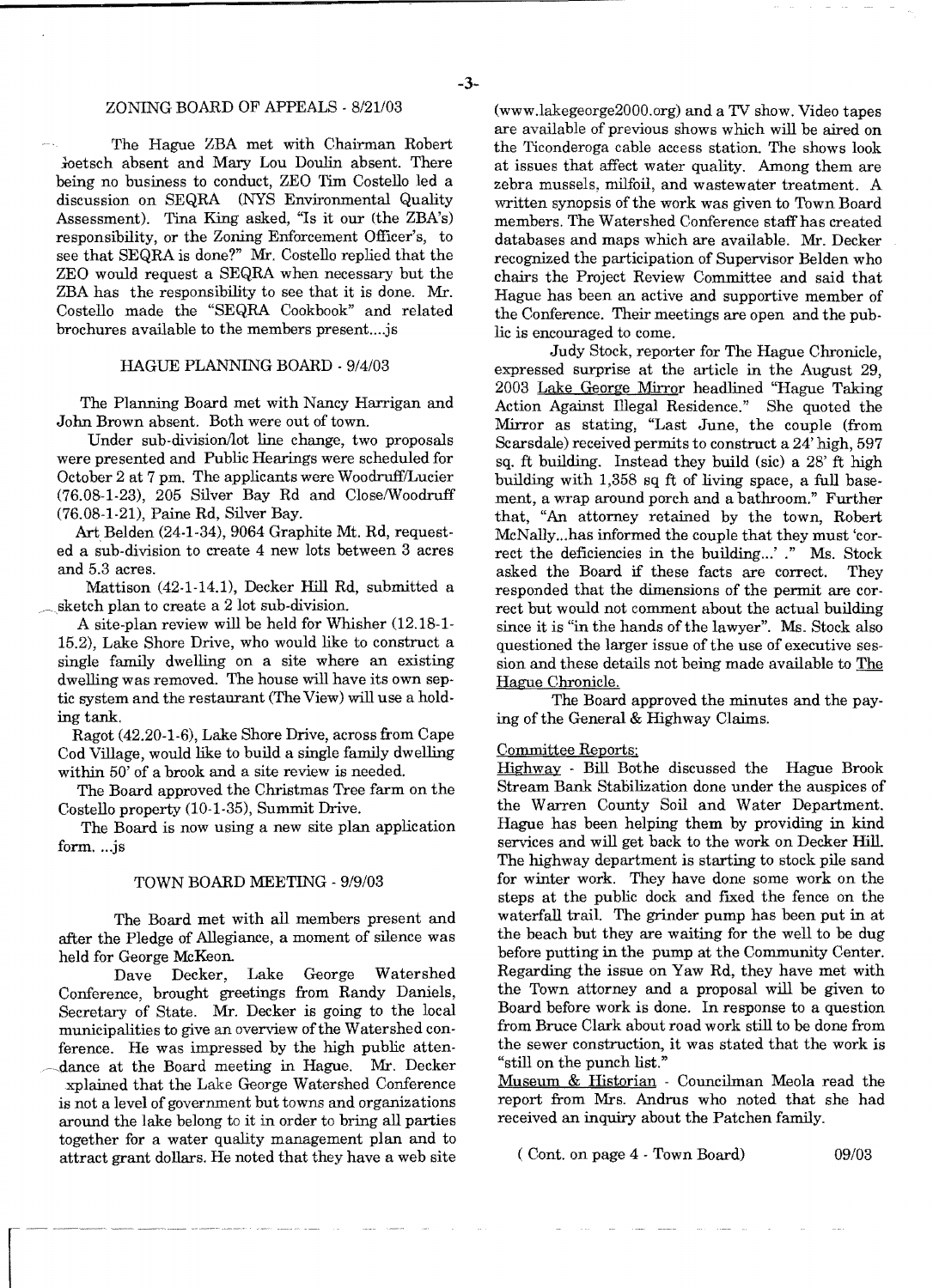# ZONING BOARD OF APPEALS - *8/21/03*

The Hague ZBA met with Chairman Robert ioetsch absent and Mary Lou Doulin absent. There being no business to conduct, ZEO Tim Costello led a discussion on SEQRA (NYS Environmental Quality Assessment). Tina King asked, "Is it our (the ZBA's) responsibility, or the Zoning Enforcement Officer's, to see that SEQRA is done?" Mr. Costello replied that the ZEO would request a SEQRA when necessary but the ZBA has the responsibility to see that it is done. Mr. Costello made the "SEQRA Cookbook" and related brochures available to the members present....js

#### HAGUE PLANNING BOARD - *9/4/03*

The Planning Board met with Nancy Harrigan and John Brown absent. Both were out of town.

Under sub-division/lot line change, two proposals were presented and Public Hearings were scheduled for October 2 at 7 pm. The applicants were WoodrufflLucier (76.08-1-23), 205 Silver Bay Rd and CloselWoodruff (76.08-1·21), Paine Rd, Silver Bay.

Art Belden (24-1-34), 9064 Graphite Mt. Rd, requested a sub-division to create 4 new lots between 3 acres and 5.3 acres.

Mattison (42·1-14.1), Decker Hill Rd, submitted a sketch plan to create a 2 lot sub-division.

. A site-plan review will be held for Whisher (12.18-1 15.2), Lake Shore Drive, who would like to construct a single family dwelling on a site where an existing dwelling was removed. The house will have its own septic system and the restaurant (The View) will use a holding tank.

Ragot (42.20-1-6), Lake Shore Drive, across from Cape Cod Village, would like to build a single family dwelling within 50' of a brook and a site review is needed.

The Board approved the Christmas Tree farm on the Costello property (10-1-35), Summit Drive.

The Board is now using a new site plan application form....js

#### TOWN BOARD MEETING - 9/9/03

The Board met with all members present and after the Pledge of Allegiance, a moment of silence was held for George McKeon.

Dave Decker, Lake George Watershed Conference, brought greetings from Randy Daniels, Secretary of State. Mr. Decker is going to the local municipalities to give an overview of the Watershed conference. He was impressed by the high public atten dance at the Board meeting in Hague. Mr. Decker xplained that the Lake George Watershed Conference is not a level of government but towns and organizations around the lake belong to it in order to bring all parties together for a water quality management plan and to attract grant dollars. He noted that they have a web site (www.lakegeorge2000.org) and a TV show. Video tapes are available of previous shows which will be aired on the Ticonderoga cable access station. The shows look at issues that affect water quality. Among them are zebra mussels, milfoil, and wastewater treatment. A written synopsis of the work was given to Town Board members. The Watershed Conference staff has created databases and maps which are available. Mr. Decker recognized the participation of Supervisor Belden who chairs the Project Review Committee and said that Hague has been an active and supportive member of the Conference. Their meetings are open and the public is encouraged to come.

Judy Stock, reporter for The Hague Chronicle, expressed surprise at the article in the August 29, 2003 Lake George Mirror headlined "Hague Taking Action Against Illegal Residence." She quoted the Mirror as stating, "Last June, the couple (from Scarsdale) received permits to construct a 24' high, 597 sq. ft building. Instead they build (sic) a 28' ft high building with 1,358 sq ft of living space, a full basement, a wrap around porch and a bathroom." Further that, "An attorney retained by the town, Robert McNally...has informed the couple that they must 'correct the deficiencies in the building...' ." Ms. Stock asked the Board if these facts are correct. They asked the Board if these facts are correct. responded that the dimensions of the permit are correct but would not comment about the actual building since it is "in the hands of the lawyer". Ms. Stock also questioned the larger issue of the use of executive session and these details not being made available to The Hague Chronicle.

The Board approved the minutes and the paying of the General & Highway Claims.

#### Committee Reports;

Highway - Bill Bothe discussed the Hague Brook Stream Bank Stabilization done under the auspices of the Warren County Soil and Water Department. Hague has been helping them by providing in kind services and will get back to the work on Decker Hill. The highway department is starting to stock pile sand for winter work. They have done some work on the steps at the public dock and fixed the fence on the waterfall traiL The grinder pump has been put in at the beach but they are waiting for the well to be dug before putting in the pump at the Community Center. Regarding the issue on Yaw Rd, they have met with the Town attorney and a proposal will be given to Board before work is done. In response to a question from Bruce Clark about road work still to be done from the sewer construction, it was stated that the work is "still on the punch list."

Museum & Historian - Councilman Meola read the report from Mrs. Andrus who noted that she had received an inquiry about the Patchen family.

 $($  Cont. on page  $4$  - Town Board $)$  09/03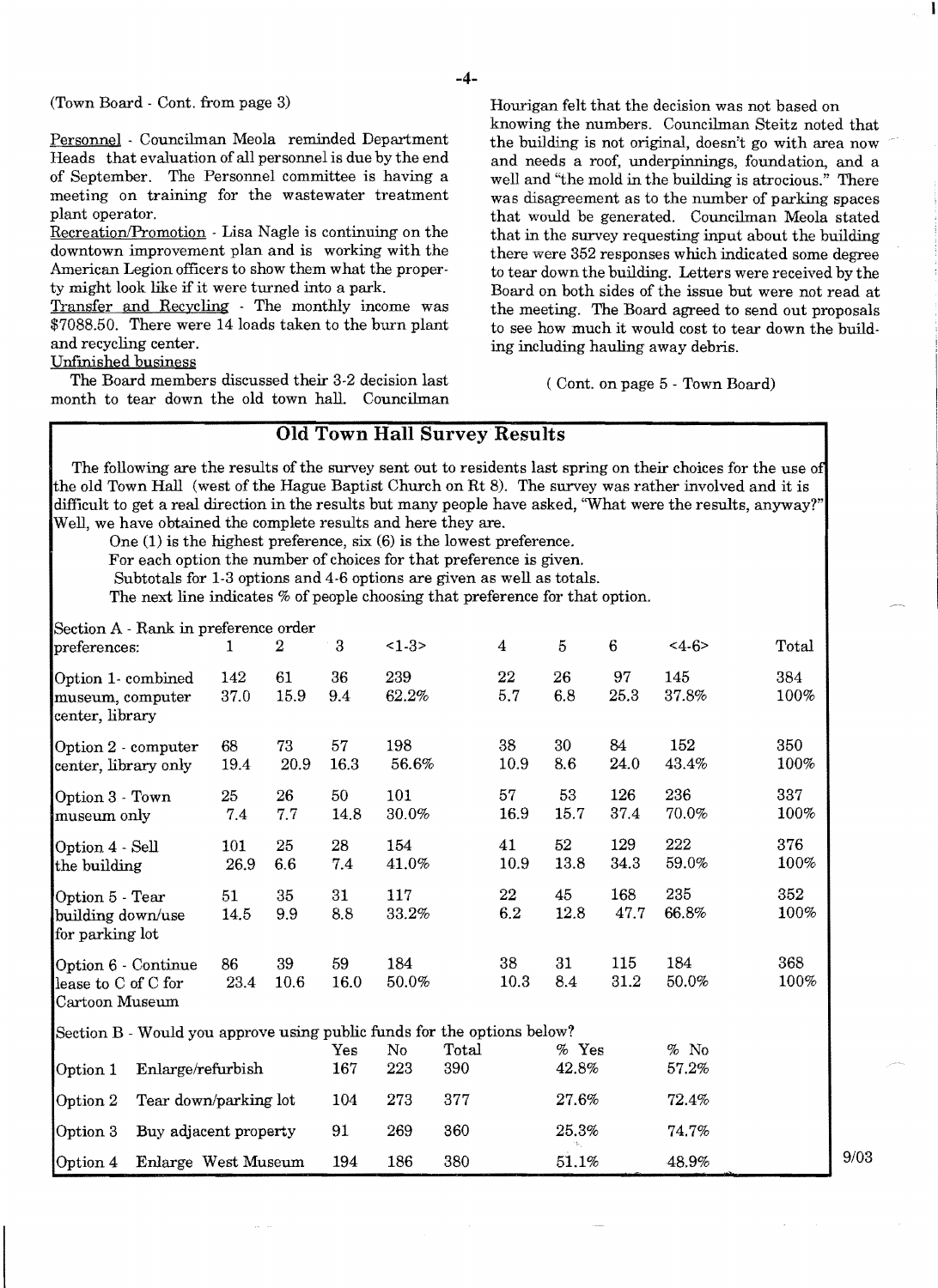$(Town Board - Cont. from page 3)$ 

Personnel - Councilman Meola reminded Department Heads that evaluation of all personnel is due by the end of September. The Personnel committee is having a meeting on training for the wastewater treatment plant operator.

Recreation/Promotion - Lisa Nagle is continuing on the downtown improvement plan and is working with the American Legion officers to show them what the property might look like if it were turned into a park.

Transfer and Recycling - The monthly income was \$7088.50. There were 14 loads taken to the burn plant and recycling center.

Unfinished business

The Board members discussed their 3-2 decision last month to tear down the old town hall. Councilman Hourigan felt that the decision was not based on knowing the numbers. Councilman Steitz noted that the building is not original, doesn't go with area now and needs a roof, underpinnings, foundation, and a well and "the mold in the building is atrocious." There was disagreement as to the number of parking spaces that would be generated. Councilman Meola stated that in the survey requesting input about the building there were 352 responses which indicated some degree to tear down the building. Letters were received by the Board on both sides of the issue but were not read at the meeting. The Board agreed to send out proposals to see how much it would cost to tear down the building including hauling away debris.

( Cont. on page 5 - Town Board)

# **Old Town Hall Survey Results**

The following are the results of the survey sent out to residents last spring on their choices for the use of the old Town Hall (west of the Hague Baptist Church on Rt 8). The survey was rather involved and it is difficult to get a real direction in the results but many people have asked, "What were the results, anyway?" Well, we have obtained the complete results and here they are.

One (1) is the highest preference, six (6) is the lowest preference.

For each option the number of choices for that preference is given.

Subtotals for 1-3 options and 4-6 options are given as well as totals.

The next line indicates % of people choosing that preference for that option.

Section A - Rank in preference order

| Decubit IX - Italia III preference<br>preferences:                      | 1                   | $\alpha$<br>$\boldsymbol{2}$ | $\boldsymbol{3}$         | $<1-3>$      |              | $\overline{4}$ | 5                | 6           | $4-6$           | Total          |      |
|-------------------------------------------------------------------------|---------------------|------------------------------|--------------------------|--------------|--------------|----------------|------------------|-------------|-----------------|----------------|------|
| Option 1- combined<br>museum, computer<br>center, library               | 142<br>37.0         | 61<br>15.9                   | 36<br>9.4                | 239<br>62.2% |              | 22<br>5.7      | 26<br>6.8        | 97<br>25.3  | 145<br>37.8%    | 384<br>100%    |      |
| Option 2 - computer<br>center, library only                             | 68<br>19.4          | 73<br>20.9                   | 57<br>16.3               | 198<br>56.6% |              | 38<br>10.9     | 30<br>8.6        | 84<br>24.0  | 152<br>43.4%    | 350<br>$100\%$ |      |
| Option 3 - Town<br>museum only                                          | 25<br>7.4           | 26<br>7.7                    | 50<br>14.8               | 101<br>30.0% |              | 57<br>16.9     | 53<br>15.7       | 126<br>37.4 | 236<br>70.0%    | 337<br>100%    |      |
| Option 4 - Sell<br>the building                                         | 101<br>26.9         | 25<br>6.6                    | 28<br>7.4                | 154<br>41.0% |              | 41<br>10.9     | 52<br>13.8       | 129<br>34.3 | 222<br>59.0%    | 376<br>100%    |      |
| Option 5 - Tear<br>building down/use<br>for parking lot                 | 51<br>14.5          | 35<br>9.9                    | 31<br>8.8                | 117<br>33.2% |              | 22<br>6.2      | 45<br>12.8       | 168<br>47.7 | 235<br>66.8%    | 352<br>100%    |      |
| Option 6 - Continue<br>lease to C of C for<br>Cartoon Museum            | 86<br>23.4          | 39<br>10.6                   | 59<br>16.0               | 184<br>50.0% |              | 38<br>10.3     | 31<br>8.4        | 115<br>31.2 | 184<br>50.0%    | 368<br>100%    |      |
| Section B - Would you approve using public funds for the options below? |                     |                              |                          |              |              |                |                  |             |                 |                |      |
| Enlarge/refurbish<br>Option 1                                           |                     |                              | $\gamma_{\rm es}$<br>167 | No<br>223    | Total<br>390 |                | $%$ Yes<br>42.8% |             | $%$ No<br>57.2% |                |      |
| Tear down/parking lot<br>Option 2                                       |                     |                              | 104                      | 273          | 377          |                | 27.6%            |             | 72.4%           |                |      |
| Option 3<br>Buy adjacent property                                       |                     |                              | 91                       | 269          | 360          |                | 25.3%            |             | 74.7%           |                |      |
| Option 4                                                                | Enlarge West Museum |                              |                          | 186          | 380          |                | 51.1%            |             | 48.9%           |                | 9/03 |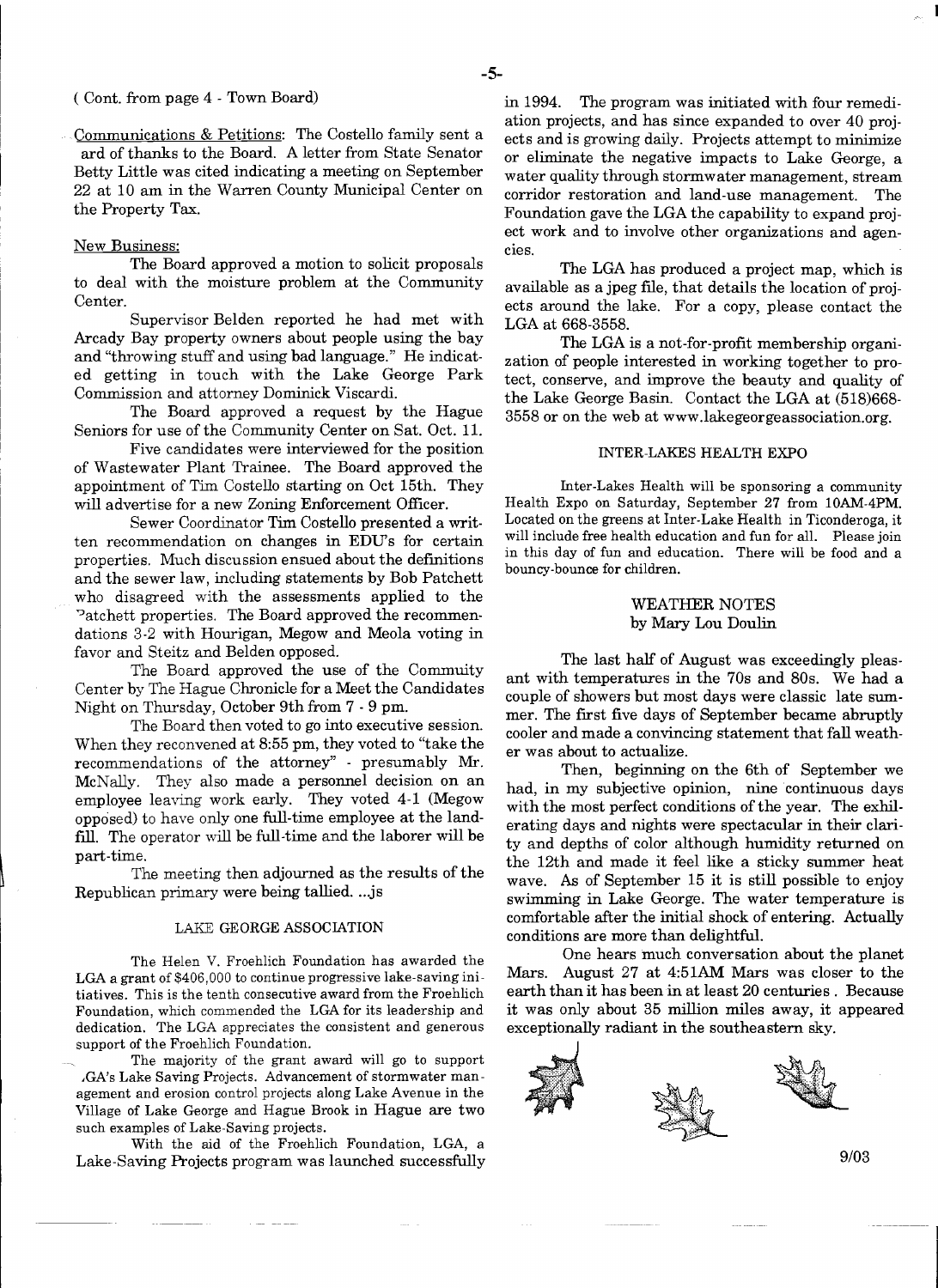# ( Cont. from page 4 - Town Board)

Communications & Petitions: The Costello family sent a ard of thanks to the Board. A letter from State Senator Betty Little was cited indicating a meeting on September 22 at 10 am in the Warren County Municipal Center on the Property Tax.

#### New Business:

The Board approved a motion to solicit proposals to deal with the moisture problem at the Community Center.

Supervisor Belden reported he had met with Arcady Bay property owners about people using the bay and "throwing stuff and using bad language." He indicat· ed getting in touch with the Lake George Park Commission and attorney Dominick Viscardi.

The Board approved a request by the Hague Seniors for use of the Community Center on Sat. Oct. II.

Five candidates were interviewed for the position of Wastewater Plant Trainee. The Board approved the appointment of Tim Costello starting on Oct 15th. They will advertise for a new Zoning Enforcement Officer.

Sewer Coordinator Tim Costello presented a written recommendation on changes in EDUs for certain properties. Much discussion ensued about the definitions and the sewer law, including statements by Bob Patchett who disagreed with the assessments applied to the Patchett properties. The Board approved the recommendations 3-2 with Hourigan, Megow and Meola voting in favor and Steitz and Belden opposed.

The Board approved the use of the Commuity Center by The Hague Chronicle for a Meet the Candidates Night on Thursday, October 9th from 7 - 9 pm.

The Board then voted to go into executive session. When they reconvened at 8:55 pm, they voted to "take the recommendations of the attorney" - presumably Mr. McNally. They also made a personnel decision on an employee leaving work early. They voted 4-1 (Megow opposed) to have only one full-time employee at the landfill. The operator will be full-time and the laborer will be part-time.

The meeting then adjourned as the results of the Republican primary were being tallied....js

#### LAKE GEORGE ASSOCIATION

The Helen V. Froehlich Foundation has awarded the LGA a grant of \$406,000 to continue progressive lake-saving initiatives. This is the tenth consecutive award from the Froehlich Foundation, which commended the LGA for its leadership and dedication. The LGA appreciates the consistent and generous support of the Froehlich Foundation.

The majority of the grant award will go to support ,GA's Lake Saving Projects. Advancement of stormwater management and erosion control projects along Lake Avenue in the Village of Lake George and Hague Brook in Hague are two such examples of Lake-Saving projects.

With the aid of the Froehlich Foundation, LGA, a Lake-Saving Projects program was launched successfully in 1994. The program was initiated with four remediation projects, and has since expanded to over 40 projects and is growing daily. Projects attempt to minimize or eliminate the negative impacts to Lake George, a water quality through stormwater management, stream corridor restoration and land-use management. The Foundation gave the LGA the capability to expand project work and to involve other organizations and agencies.

The LGA has produced a project map, which is available as a jpeg fIle, that details the location of projects around the lake. For a copy, please contact the LGA at 668-3558.

The LGA is a not-for-profit membership organization of people interested in working together to protect, conserve, and improve the beauty and quality of the Lake George Basin. Contact the LGA at (518)668 3558 or on the web at www.lakegeorgeassociation.org.

#### INTER-LAKES HEALTH EXPO

Inter-Lakes Health will be sponsoring a community Health Expo on Saturday, September 27 from lOAM-4PM. Located on the greens at Inter-Lake Health in Ticonderoga, it will include free health education and fun for all. Please join in this day of fun and education. There will be food and a bouncy-bounce for children.

# WEATHER NOTES by Mary Lou Doulin

The last half of August was exceedingly pleasant with temperatures in the 70s and 80s. We had a couple of showers but most days were classic late summer. The frrst five days of September became abruptly cooler and made a convincing statement that fall weather was about to actualize.

Then, beginning on the 6th of September we had, in my subjective opinion, nine continuous days with the most perfect conditions of the year. The exhilerating days and nights were spectacular in their clarity and depths of color although humidity returned on the 12th and made it feel like a sticky summer heat wave. As of September 15 it is still possible to enjoy swimming in Lake George. The water temperature is comfortable after the initial shock of entering. Actually conditions are more than delightful.

One hears much conversation about the planet Mars. August 27 at 4:51AM Mars was closer to the earth than it has been in at least 20 centuries. Because it was only about 35 million miles away, it appeared exceptionally radiant in the southeastern sky.



9/03

------

l<br>I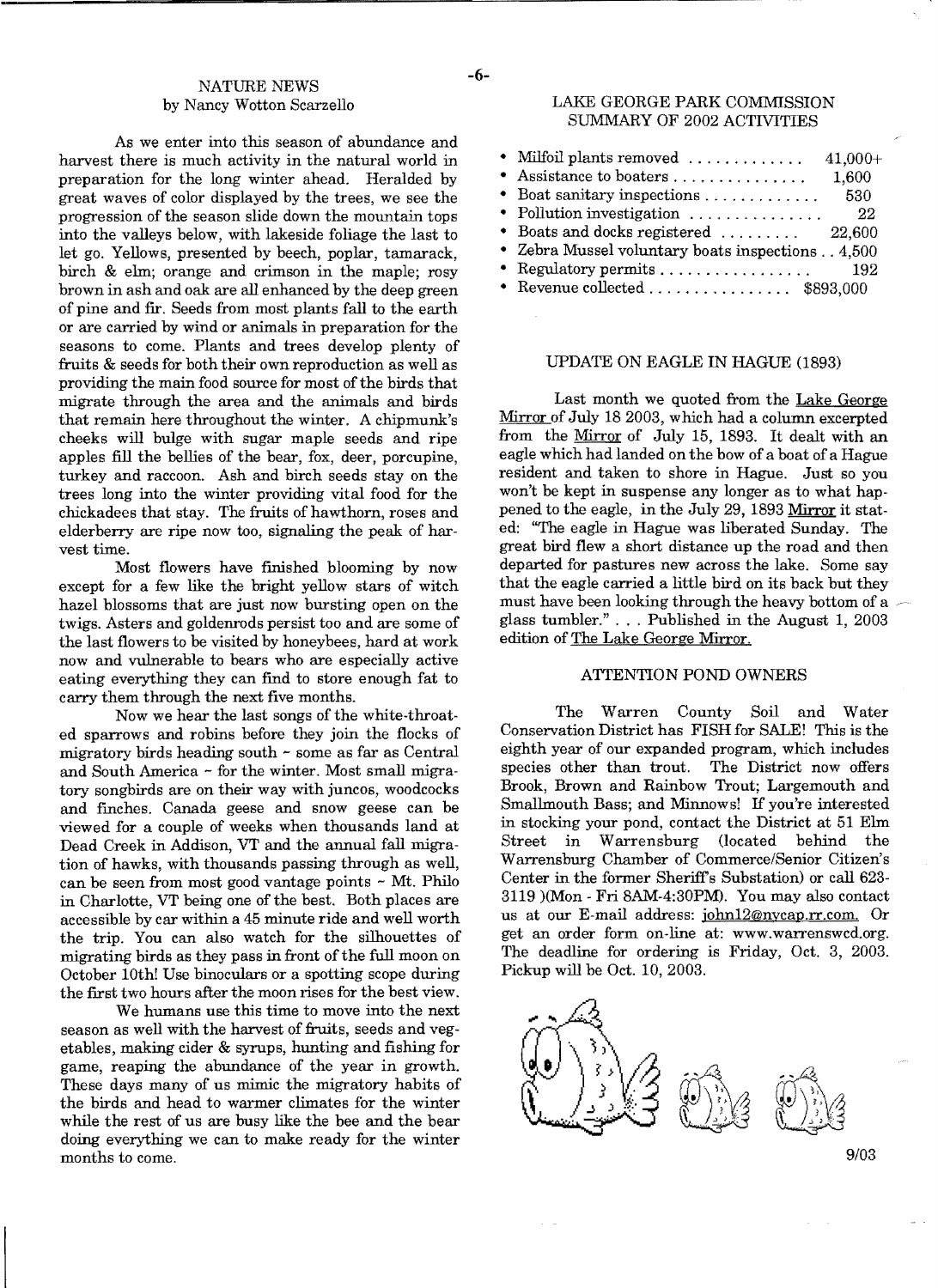# NATURE NEWS -6by Nancy Wotton Scarzello

As we enter into this season of abundance and harvest there is much activity in the natural world in preparation for the long winter ahead. Heralded by great waves of color displayed by the trees, we see the progression of the season slide down the mountain tops into the valleys below, with lakeside foliage the last to let go. Yellows, presented by beech, poplar, tamarack, birch & elm; orange and crimson in the maple; rosy brown in ash and oak are all enhanced by the deep green of pine and fir. Seeds from most plants fall to the earth or are carried by wind or animals in preparation for the seasons to come. Plants and trees develop plenty of fruits & seeds for both their own reproduction as well as providing the main food source for most of the birds that migrate through the area and the animals and birds that remain here throughout the winter. A chipmunk's cheeks will bulge with sugar maple seeds and ripe apples fill the bellies of the bear, fox, deer, porcupine, turkey and raccoon. Ash and birch seeds stay on the trees long into the winter providing vital food for the chickadees that stay. The fruits of hawthorn, roses and elderberry are ripe now too, signaling the peak of harvest time.

Most flowers have finished blooming by now except for a few like the bright yellow stars of witch hazel blossoms that are just now bursting open on the twigs. Asters and goldenrods persist too and are some of the last flowers to be visited by honeybees, hard at work now and vulnerable to bears who are especially active eating everything they can fInd to store enough fat to carry them through the next five months.

Now we hear the last songs of the white-throated sparrows and robins before they join the flocks of migratory birds heading south - some as far as Central and South America ~ for the winter. Most small migratory songbirds are on their way with juncos, woodcocks and fInches. Canada geese and snow geese can be viewed for a couple of weeks when thousands land at Dead Creek in Addison, VT and the annual fall migration of hawks, with thousands passing through as well, can be seen from most good vantage points - Mt. Philo in Charlotte, VT being one of the best. Both places are accessible by car within a 45 minute ride and well worth the trip. You can also watch for the silhouettes of migrating birds as they pass in front of the full moon on October 10th! Use binoculars or a spotting scope during the first two hours after the moon rises for the best view.

We humans use this time to move into the next season as well with the harvest of fruits, seeds and vegetables, making cider  $\&$  syrups, hunting and fishing for game, reaping the abundance of the year in growth. These days many of us mimic the migratory habits of the birds and head to warmer climates for the winter while the rest of us are busy like the bee and the bear doing everything we can to make ready for the winter months to come.

#### LAKE GEORGE PARK COMMISSION SUMMARY OF 2002 ACTIVITIES

| $\bullet$ Milfoil plants removed<br>$41,000+$                  |  |
|----------------------------------------------------------------|--|
| 1,600                                                          |  |
| 530                                                            |  |
| • Pollution investigation $\ldots \ldots \ldots \ldots$<br>-22 |  |
| • Boats and docks registered  22,600                           |  |
| • Zebra Mussel voluntary boats inspections 4,500               |  |
| 192                                                            |  |
| • Revenue collected \$893,000                                  |  |

#### UPDATE ON EAGLE IN HAGUE (1893)

Last month we quoted from the Lake George Mirror of July 18 2003, which had a column excerpted from the Mirror of July 15, 1893. It dealt with an eagle which had landed on the bow of a boat of a Hague resident and taken to shore in Hague. Just so you won't be kept in suspense any longer as to what happened to the eagle, in the July 29, 1893 Mirror it stated: "The eagle in Hague was liberated Sunday. The great bird flew a short distance up the road and then departed for pastures new across the lake. Some say that the eagle carried a little bird on its back but they must have been looking through the heavy bottom of a glass tumbler." ... Published in the August 1, 2003 edition of The Lake George Mirror.

#### ATTENTION POND OWNERS

The Warren County Soil and Water Conservation District has FISH for SALE! This is the eighth year of our expanded program, which includes species other than trout. Brook, Brown and Rainbow Trout; Largemouth and Smallmouth Bass; and Minnows! If you're interested in stocking your pond, contact the District at 51 Elm Street in Warrensburg (located behind the Warrensburg Chamber of Commerce/Senior Citizen's Center in the former Sheriff's Substation) or call 623 3119 )(Mon - Fri 8AM-4:30PM). You may also contact us at our E-mail address: john12@nycap.rr.com. Or get an order form on-line at: www.warrenswcd.org. The deadline for ordering is Friday, Oct. 3, 2003. Pickup will be Oct. 10, 2003.



9/03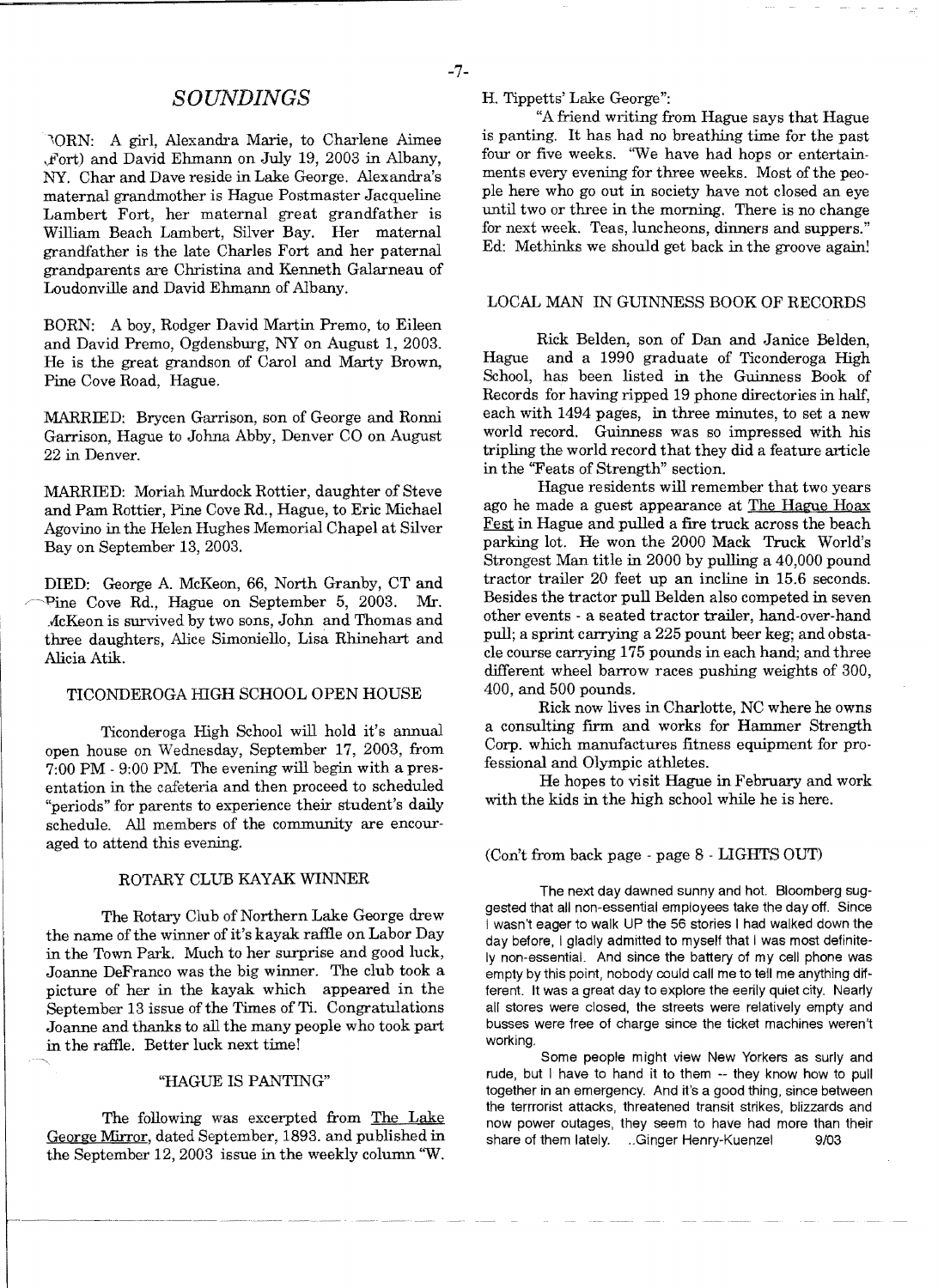lORN: A girl, Alexandra Marie, to Charlene Aimee ,.Fort) and David Ehmann on July 19, 2003 in Albany, NY. Char and Dave reside in Lake George. Alexandra's maternal grandmother is Hague Postmaster Jacqueline Lambert Fort, her maternal great grandfather is William Beach Lambert, Silver Bay. Her maternal grandfather is the late Charles Fort and her paternal grandparents are Christina and Kenneth Galarneau of Loudonville and David Ehmann of Albany.

BORN: A boy, Rodger David Martin Premo, to Eileen and David Premo, Ogdensburg, NY on August 1, 2003. He is the great grandson of Carol and Marty Brown, Pine Cove Road, Hague.

MARRlED: Brycen Garrison, son of George and Ronni Garrison, Hague to Johna Abby, Denver CO on August 22 in Denver.

MARRIED: Moriah Murdock Rottier, daughter of Steve and Pam Rottier, Pine Cove Rd., Hague, to Eric Michael Agovino in the Helen Hughes Memorial Chapel at Silver Bay on September 13, 2003.

DIED: George A. McKeon, 66, North Granby, CT and Pine Cove Rd., Hague on September 5, 2003. Mr. .dcKeon is survived by two sons, John and Thomas and three daughters, Alice Simoniello, Lisa Rhinehart and Alicia Atik.

# TICONDEROGA HIGH SCHOOL OPEN HOUSE

Ticonderoga High School will hold it's annual open house on Wednesday, September 17, 2003, from 7:00 PM - 9:00 PM. The evening will begin with a presentation in the cafeteria and then proceed to scheduled "periods" for parents to experience their student's daily schedule. All members of the community are encouraged to attend this evening.

#### ROTARY CLUB KAYAK WINNER

The Rotary Club of Northern Lake George drew the name of the winner of it's kayak raffle on Labor Day in the Town Park. Much to her surprise and good luck, Joanne DeFranco was the big winner. The club took a picture of her in the kayak which appeared in the September 13 issue of the Times of Ti. Congratulations Joanne and thanks to all the many people who took part in the raffie. Better luck next time!

# "HAGUE IS PANTING"

The following was excerpted from The Lake George Mirror, dated September, 1893. and published in the September 12,2003 issue in the weekly column 'W.

*SOUNDINGS* H. Tippetts'Lake George":

"A friend writing from Hague says that Hague is panting. It has had no breathing time for the past four or five weeks. 'We have had hops or entertainments every evening for three weeks. Most of the people here who go out in society have not closed an eye until two or three in the morning. There is no change for next week. Teas, luncheons, dinners and suppers." Ed: Methinks we should get back in the groove again!

### LOCAL MAN IN GUINNESS BOOK OF RECORDS

Rick Belden, son of Dan and Janice Belden Hague and a 1990 graduate of Ticonderoga High School, has been listed in the Guinness Book of Records for having ripped 19 phone directories in half, each with 1494 pages, in three minutes, to set a new world record. Guinness was so impressed with his tripling the world record that they did a feature article in the "Feats of Strength" section.

Hague residents will remember that two years ago he made a guest appearance at The Hague Hoax Fest in Hague and pulled a fire truck across the beach parking lot. He won the 2000 Mack Truck World's Strongest Man title in 2000 by pulling a 40,000 pound tractor trailer 20 feet up an incline in 15.6 seconds. Besides the tractor pull Belden also competed in seven other events - a seated tractor trailer, hand-over-hand pull; a sprint carrying a 225 pount beer keg; and obstacle course carrying 175 pounds in each hand; and three different wheel barrow races pushing weights of 300, 400, and 500 pounds.

Rick now lives in Charlotte, NC where he owns a consulting frrm and works for Hammer Strength Corp. which manufactures fitness equipment for professional and Olympic athletes.

He hopes to visit Hague in February and work with the kids in the high school while he is here.

#### (Con't from back page - page 8 - LIGHTS OUT)

The next day dawned sunny and hot. Bloomberg suggested that all non-essential employees take the day off. Since I wasn't eager to walk UP the 56 stories I had walked down the day before, I gladly admitted to myself that I was most definitely non-essential. And since the battery of my cell phone was empty by this point, nobody could call me to tell me anything different. It was a great day to explore the eerily quiet city. Nearly all stores were closed, the streets were relatively empty and busses were free of charge since the ticket machines weren't working.

Some people might view New Yorkers as surly and rude, but I have to hand it to them -- they know how to pull together in an emergency. And it's a good thing, since between the terrrorist attacks, threatened transit strikes, blizzards and now power outages, they seem to have had more than their share of them lately. ..Ginger Henry-Kuenzel 9/03